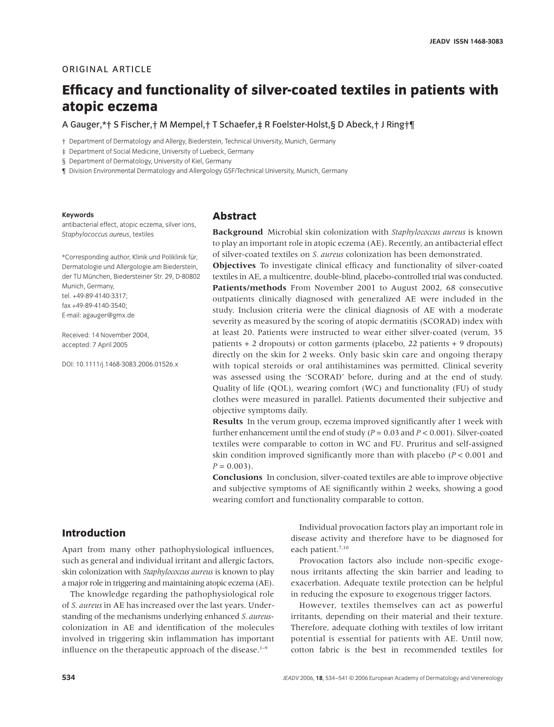#### **ORIGINAL ARTICLE**

# **Efficacy and functionality of silver-coated textiles in patients with atopic eczema**

A Gauger,\*† S Fischer,† M Mempel,† T Schaefer,‡ R Foelster-Holst,§ D Abeck,† J Ring†¶

† Department of Dermatology and Allergy, Biederstein, Technical University, Munich, Germany

‡ Department of Social Medicine, University of Luebeck, Germany

§ Department of Dermatology, University of Kiel, Germany

¶ Division Environmental Dermatology and Allergology GSF/Technical University, Munich, Germany

#### **Keywords**

antibacterial effect, atopic eczema, silver ions, *Staphylococcus aureus*, textiles

\*Corresponding author, Klinik und Poliklinik für, Dermatologie und Allergologie am Biederstein, der TU München, Biedersteiner Str. 29, D-80802 Munich, Germany, tel. +49-89-4140-3317; fax +49-89-4140-3540; E-mail: agauger@gmx.de

Received: 14 November 2004, accepted: 7 April 2005

DOI: 10.1111/j.1468-3083.2006.01526.x

#### **Abstract**

**Background** Microbial skin colonization with *Staphylococcus aureus* is known to play an important role in atopic eczema (AE). Recently, an antibacterial effect of silver-coated textiles on *S. aureus* colonization has been demonstrated.

**Objectives** To investigate clinical efficacy and functionality of silver-coated textiles in AE, a multicentre, double-blind, placebo-controlled trial was conducted. **Patients/methods** From November 2001 to August 2002, 68 consecutive outpatients clinically diagnosed with generalized AE were included in the study. Inclusion criteria were the clinical diagnosis of AE with a moderate severity as measured by the scoring of atopic dermatitis (SCORAD) index with at least 20. Patients were instructed to wear either silver-coated (verum, 35 patients + 2 dropouts) or cotton garments (placebo, 22 patients + 9 dropouts) directly on the skin for 2 weeks. Only basic skin care and ongoing therapy with topical steroids or oral antihistamines was permitted. Clinical severity was assessed using the 'SCORAD' before, during and at the end of study. Quality of life (QOL), wearing comfort (WC) and functionality (FU) of study clothes were measured in parallel. Patients documented their subjective and objective symptoms daily.

**Results** In the verum group, eczema improved significantly after 1 week with further enhancement until the end of study (*P =* 0.03 and *P* < 0.001). Silver-coated textiles were comparable to cotton in WC and FU. Pruritus and self-assigned skin condition improved significantly more than with placebo (*P <* 0.001 and  $P = 0.003$ .

**Conclusions** In conclusion, silver-coated textiles are able to improve objective and subjective symptoms of AE significantly within 2 weeks, showing a good wearing comfort and functionality comparable to cotton.

## **Introduction**

Apart from many other pathophysiological influences, such as general and individual irritant and allergic factors, skin colonization with *Staphylococcus aureus* is known to play a major role in triggering and maintaining atopic eczema (AE).

The knowledge regarding the pathophysiological role of *S. aureus* in AE has increased over the last years. Understanding of the mechanisms underlying enhanced *S. aureus*colonization in AE and identification of the molecules involved in triggering skin inflammation has important influence on the therapeutic approach of the disease. $1-9$ 

Individual provocation factors play an important role in disease activity and therefore have to be diagnosed for each patient.<sup>7,10</sup>

Provocation factors also include non-specific exogenous irritants affecting the skin barrier and leading to exacerbation. Adequate textile protection can be helpful in reducing the exposure to exogenous trigger factors.

However, textiles themselves can act as powerful irritants, depending on their material and their texture. Therefore, adequate clothing with textiles of low irritant potential is essential for patients with AE. Until now, cotton fabric is the best in recommended textiles for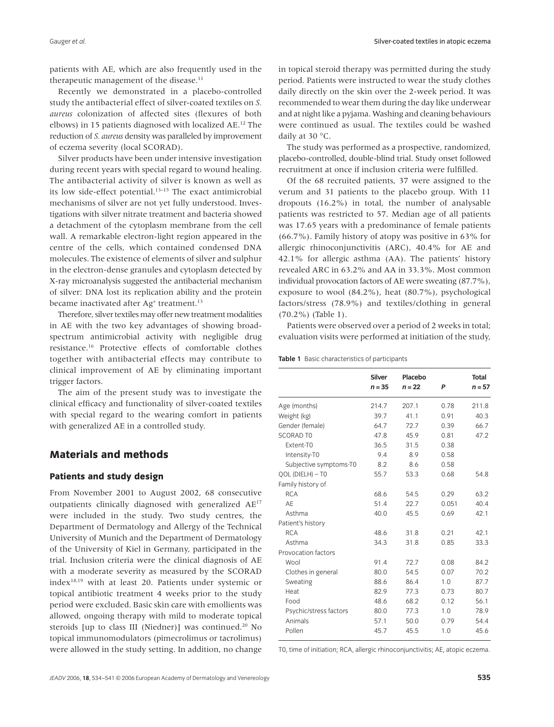patients with AE, which are also frequently used in the therapeutic management of the disease.<sup>11</sup>

Recently we demonstrated in a placebo-controlled study the antibacterial effect of silver-coated textiles on *S. aureus* colonization of affected sites (flexures of both elbows) in 15 patients diagnosed with localized AE.12 The reduction of *S. aureus* density was paralleled by improvement of eczema severity (local SCORAD).

Silver products have been under intensive investigation during recent years with special regard to wound healing. The antibacterial activity of silver is known as well as its low side-effect potential.13–15 The exact antimicrobial mechanisms of silver are not yet fully understood. Investigations with silver nitrate treatment and bacteria showed a detachment of the cytoplasm membrane from the cell wall. A remarkable electron-light region appeared in the centre of the cells, which contained condensed DNA molecules. The existence of elements of silver and sulphur in the electron-dense granules and cytoplasm detected by X-ray microanalysis suggested the antibacterial mechanism of silver: DNA lost its replication ability and the protein became inactivated after Ag<sup>+</sup> treatment.<sup>13</sup>

Therefore, silver textiles may offer new treatment modalities in AE with the two key advantages of showing broadspectrum antimicrobial activity with negligible drug resistance.16 Protective effects of comfortable clothes together with antibacterial effects may contribute to clinical improvement of AE by eliminating important trigger factors.

The aim of the present study was to investigate the clinical efficacy and functionality of silver-coated textiles with special regard to the wearing comfort in patients with generalized AE in a controlled study.

# **Materials and methods**

#### **Patients and study design**

From November 2001 to August 2002, 68 consecutive outpatients clinically diagnosed with generalized AE17 were included in the study. Two study centres, the Department of Dermatology and Allergy of the Technical University of Munich and the Department of Dermatology of the University of Kiel in Germany, participated in the trial. Inclusion criteria were the clinical diagnosis of AE with a moderate severity as measured by the SCORAD  $index<sup>18,19</sup>$  with at least 20. Patients under systemic or topical antibiotic treatment 4 weeks prior to the study period were excluded. Basic skin care with emollients was allowed, ongoing therapy with mild to moderate topical steroids [up to class III (Niedner)] was continued.<sup>20</sup> No topical immunomodulators (pimecrolimus or tacrolimus) were allowed in the study setting. In addition, no change

in topical steroid therapy was permitted during the study period. Patients were instructed to wear the study clothes daily directly on the skin over the 2-week period. It was recommended to wear them during the day like underwear and at night like a pyjama. Washing and cleaning behaviours were continued as usual. The textiles could be washed daily at 30 °C.

The study was performed as a prospective, randomized, placebo-controlled, double-blind trial. Study onset followed recruitment at once if inclusion criteria were fulfilled.

Of the 68 recruited patients, 37 were assigned to the verum and 31 patients to the placebo group. With 11 dropouts (16.2%) in total, the number of analysable patients was restricted to 57. Median age of all patients was 17.65 years with a predominance of female patients (66.7%). Family history of atopy was positive in 63% for allergic rhinoconjunctivitis (ARC), 40.4% for AE and 42.1% for allergic asthma (AA). The patients' history revealed ARC in 63.2% and AA in 33.3%. Most common individual provocation factors of AE were sweating (87.7%), exposure to wool (84.2%), heat (80.7%), psychological factors/stress (78.9%) and textiles/clothing in general (70.2%) (Table 1).

Patients were observed over a period of 2 weeks in total; evaluation visits were performed at initiation of the study,

|  | Table 1 Basic characteristics of participants |  |
|--|-----------------------------------------------|--|
|--|-----------------------------------------------|--|

|                        | Silver<br>$n = 35$ | Placebo<br>$n = 22$ | P     | <b>Total</b><br>$n = 57$ |
|------------------------|--------------------|---------------------|-------|--------------------------|
| Age (months)           | 214.7              | 207.1               | 0.78  | 211.8                    |
| Weight (kg)            | 39.7               | 41.1                | 0.91  | 40.3                     |
| Gender (female)        | 64.7               | 72.7                | 0.39  | 66.7                     |
| <b>SCORAD TO</b>       | 47.8               | 45.9                | 0.81  | 47.2                     |
| Extent-TO              | 36.5               | 31.5                | 0.38  |                          |
| Intensity-T0           | 9.4                | 8.9                 | 0.58  |                          |
| Subjective symptoms-T0 | 8.2                | 8.6                 | 0.58  |                          |
| QOL (DIELH) - TO       | 55.7               | 53.3                | 0.68  | 54.8                     |
| Family history of      |                    |                     |       |                          |
| <b>RCA</b>             | 68.6               | 54.5                | 0.29  | 63.2                     |
| AE                     | 51.4               | 22.7                | 0.051 | 40.4                     |
| Asthma                 | 40.0               | 45.5                | 0.69  | 42.1                     |
| Patient's history      |                    |                     |       |                          |
| <b>RCA</b>             | 48.6               | 31.8                | 0.21  | 42.1                     |
| Asthma                 | 34.3               | 31.8                | 0.85  | 33.3                     |
| Provocation factors    |                    |                     |       |                          |
| Wool                   | 91.4               | 72.7                | 0.08  | 84.2                     |
| Clothes in general     | 80.0               | 54.5                | 0.07  | 70.2                     |
| Sweating               | 88.6               | 86.4                | 1.0   | 87.7                     |
| <b>Heat</b>            | 82.9               | 77.3                | 0.73  | 80.7                     |
| Food                   | 48.6               | 68.2                | 0.12  | 56.1                     |
| Psychic/stress factors | 80.0               | 77.3                | 1.0   | 78.9                     |
| Animals                | 57.1               | 50.0                | 0.79  | 54.4                     |
| Pollen                 | 45.7               | 45.5                | 1.0   | 45.6                     |

T0, time of initiation; RCA, allergic rhinoconjunctivitis; AE, atopic eczema.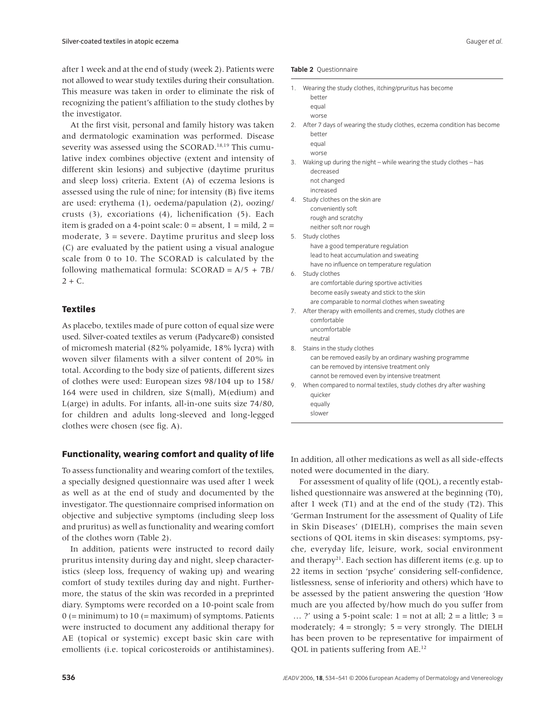after 1 week and at the end of study (week 2). Patients were not allowed to wear study textiles during their consultation. This measure was taken in order to eliminate the risk of recognizing the patient's affiliation to the study clothes by the investigator.

At the first visit, personal and family history was taken and dermatologic examination was performed. Disease severity was assessed using the SCORAD.18,19 This cumulative index combines objective (extent and intensity of different skin lesions) and subjective (daytime pruritus and sleep loss) criteria. Extent (A) of eczema lesions is assessed using the rule of nine; for intensity (B) five items are used: erythema (1), oedema/papulation (2), oozing/ crusts (3), excoriations (4), lichenification (5). Each item is graded on a 4-point scale:  $0 =$  absent,  $1 =$  mild,  $2 =$ moderate, 3 = severe. Daytime pruritus and sleep loss (C) are evaluated by the patient using a visual analogue scale from 0 to 10. The SCORAD is calculated by the following mathematical formula: SCORAD = A/5 + 7B/  $2 + C$ .

#### **Textiles**

As placebo, textiles made of pure cotton of equal size were used. Silver-coated textiles as verum (Padycare®) consisted of micromesh material (82% polyamide, 18% lycra) with woven silver filaments with a silver content of 20% in total. According to the body size of patients, different sizes of clothes were used: European sizes 98/104 up to 158/ 164 were used in children, size S(mall), M(edium) and L(arge) in adults. For infants, all-in-one suits size 74/80, for children and adults long-sleeved and long-legged clothes were chosen (see fig. A).

#### **Functionality, wearing comfort and quality of life**

To assess functionality and wearing comfort of the textiles, a specially designed questionnaire was used after 1 week as well as at the end of study and documented by the investigator. The questionnaire comprised information on objective and subjective symptoms (including sleep loss and pruritus) as well as functionality and wearing comfort of the clothes worn (Table 2).

In addition, patients were instructed to record daily pruritus intensity during day and night, sleep characteristics (sleep loss, frequency of waking up) and wearing comfort of study textiles during day and night. Furthermore, the status of the skin was recorded in a preprinted diary. Symptoms were recorded on a 10-point scale from  $0$  (= minimum) to  $10$  (= maximum) of symptoms. Patients were instructed to document any additional therapy for AE (topical or systemic) except basic skin care with emollients (i.e. topical coricosteroids or antihistamines).

| 1. | Wearing the study clothes, itching/pruritus has become<br>better                |
|----|---------------------------------------------------------------------------------|
|    | equal                                                                           |
|    | worse                                                                           |
| 2. | After 7 days of wearing the study clothes, eczema condition has become          |
|    | better                                                                          |
|    | equal                                                                           |
|    | worse                                                                           |
| 3. | Waking up during the night - while wearing the study clothes - has<br>decreased |
|    | not changed                                                                     |
|    | increased                                                                       |
| 4. | Study clothes on the skin are                                                   |
|    | conveniently soft                                                               |
|    | rough and scratchy                                                              |
|    | neither soft nor rough                                                          |
| 5. | Study clothes                                                                   |
|    | have a good temperature regulation                                              |
|    | lead to heat accumulation and sweating                                          |
|    | have no influence on temperature regulation                                     |
| 6. | Study clothes                                                                   |
|    | are comfortable during sportive activities                                      |
|    | become easily sweaty and stick to the skin                                      |
|    | are comparable to normal clothes when sweating                                  |
| 7. | After therapy with emoillents and cremes, study clothes are                     |
|    | comfortable                                                                     |
|    | uncomfortable                                                                   |
|    | neutral                                                                         |
| 8. | Stains in the study clothes                                                     |
|    | can be removed easily by an ordinary washing programme                          |
|    | can be removed by intensive treatment only                                      |
|    | cannot be removed even by intensive treatment                                   |
| 9. | When compared to normal textiles, study clothes dry after washing               |
|    | quicker                                                                         |
|    | equally                                                                         |
|    | slower                                                                          |

In addition, all other medications as well as all side-effects noted were documented in the diary.

For assessment of quality of life (QOL), a recently established questionnaire was answered at the beginning (T0), after 1 week (T1) and at the end of the study (T2). This 'German Instrument for the assessment of Quality of Life in Skin Diseases' (DIELH), comprises the main seven sections of QOL items in skin diseases: symptoms, psyche, everyday life, leisure, work, social environment and therapy<sup>21</sup>. Each section has different items (e.g. up to 22 items in section 'psyche' considering self-confidence, listlessness, sense of inferiority and others) which have to be assessed by the patient answering the question 'How much are you affected by/how much do you suffer from  $\ldots$  ?' using a 5-point scale: 1 = not at all; 2 = a little; 3 = moderately;  $4 =$  strongly;  $5 =$  very strongly. The DIELH has been proven to be representative for impairment of QOL in patients suffering from AE.12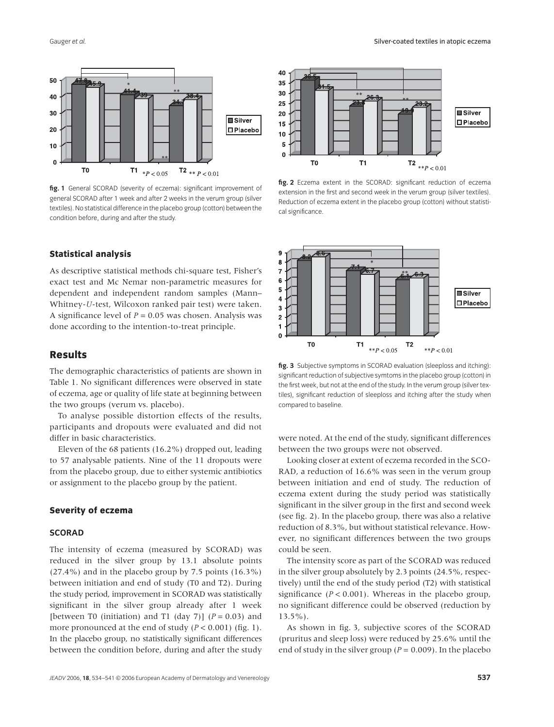

**fig. 1** General SCORAD (severity of eczema): significant improvement of general SCORAD after 1 week and after 2 weeks in the verum group (silver textiles). No statistical difference in the placebo group (cotton) between the condition before, during and after the study.

#### **Statistical analysis**

As descriptive statistical methods chi-square test, Fisher's exact test and Mc Nemar non-parametric measures for dependent and independent random samples (Mann– Whitney-*U*-test, Wilcoxon ranked pair test) were taken. A significance level of *P* = 0.05 was chosen. Analysis was done according to the intention-to-treat principle.

#### **Results**

The demographic characteristics of patients are shown in Table 1. No significant differences were observed in state of eczema, age or quality of life state at beginning between the two groups (verum vs. placebo).

To analyse possible distortion effects of the results, participants and dropouts were evaluated and did not differ in basic characteristics.

Eleven of the 68 patients (16.2%) dropped out, leading to 57 analysable patients. Nine of the 11 dropouts were from the placebo group, due to either systemic antibiotics or assignment to the placebo group by the patient.

#### **Severity of eczema**

#### **SCORAD**

The intensity of eczema (measured by SCORAD) was reduced in the silver group by 13.1 absolute points (27.4%) and in the placebo group by 7.5 points (16.3%) between initiation and end of study (T0 and T2). During the study period, improvement in SCORAD was statistically significant in the silver group already after 1 week [between T0 (initiation) and T1 (day 7)] (*P =* 0.03) and more pronounced at the end of study (*P <* 0.001) (fig. 1). In the placebo group, no statistically significant differences between the condition before, during and after the study



**fig. 2** Eczema extent in the SCORAD: significant reduction of eczema extension in the first and second week in the verum group (silver textiles). Reduction of eczema extent in the placebo group (cotton) without statistical significance.



**fig. 3** Subjective symptoms in SCORAD evaluation (sleeploss and itching): significant reduction of subjective symtoms in the placebo group (cotton) in the first week, but not at the end of the study. In the verum group (silver textiles), significant reduction of sleeploss and itching after the study when compared to baseline.

were noted. At the end of the study, significant differences between the two groups were not observed.

Looking closer at extent of eczema recorded in the SCO-RAD, a reduction of 16.6% was seen in the verum group between initiation and end of study. The reduction of eczema extent during the study period was statistically significant in the silver group in the first and second week (see fig. 2). In the placebo group, there was also a relative reduction of 8.3%, but without statistical relevance. However, no significant differences between the two groups could be seen.

The intensity score as part of the SCORAD was reduced in the silver group absolutely by 2.3 points (24.5%, respectively) until the end of the study period (T2) with statistical significance (*P <* 0.001). Whereas in the placebo group, no significant difference could be observed (reduction by 13.5%).

As shown in fig. 3, subjective scores of the SCORAD (pruritus and sleep loss) were reduced by 25.6% until the end of study in the silver group (*P =* 0.009). In the placebo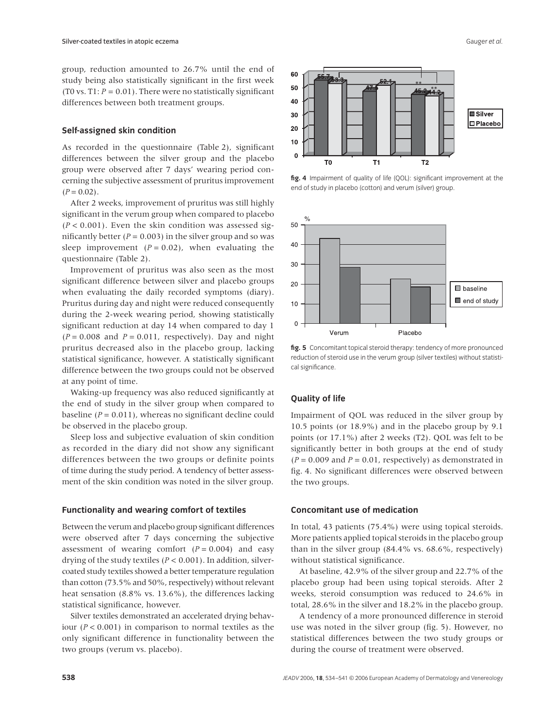group, reduction amounted to 26.7% until the end of study being also statistically significant in the first week (T0 vs.  $T1: P = 0.01$ ). There were no statistically significant differences between both treatment groups.

#### **Self-assigned skin condition**

As recorded in the questionnaire (Table 2), significant differences between the silver group and the placebo group were observed after 7 days' wearing period concerning the subjective assessment of pruritus improvement  $(P = 0.02)$ .

After 2 weeks, improvement of pruritus was still highly significant in the verum group when compared to placebo (*P <* 0.001). Even the skin condition was assessed significantly better  $(P = 0.003)$  in the silver group and so was sleep improvement  $(P = 0.02)$ , when evaluating the questionnaire (Table 2).

Improvement of pruritus was also seen as the most significant difference between silver and placebo groups when evaluating the daily recorded symptoms (diary). Pruritus during day and night were reduced consequently during the 2-week wearing period, showing statistically significant reduction at day 14 when compared to day 1  $(P = 0.008$  and  $P = 0.011$ , respectively). Day and night pruritus decreased also in the placebo group, lacking statistical significance, however. A statistically significant difference between the two groups could not be observed at any point of time.

Waking-up frequency was also reduced significantly at the end of study in the silver group when compared to baseline (*P =* 0.011), whereas no significant decline could be observed in the placebo group.

Sleep loss and subjective evaluation of skin condition as recorded in the diary did not show any significant differences between the two groups or definite points of time during the study period. A tendency of better assessment of the skin condition was noted in the silver group.

#### **Functionality and wearing comfort of textiles**

Between the verum and placebo group significant differences were observed after 7 days concerning the subjective assessment of wearing comfort  $(P = 0.004)$  and easy drying of the study textiles (*P <* 0.001). In addition, silvercoated study textiles showed a better temperature regulation than cotton (73.5% and 50%, respectively) without relevant heat sensation (8.8% vs. 13.6%), the differences lacking statistical significance, however.

Silver textiles demonstrated an accelerated drying behaviour (*P <* 0.001) in comparison to normal textiles as the only significant difference in functionality between the two groups (verum vs. placebo).



**fig. 4** Impairment of quality of life (QOL): significant improvement at the end of study in placebo (cotton) and verum (silver) group.



**fig. 5** Concomitant topical steroid therapy: tendency of more pronounced reduction of steroid use in the verum group (silver textiles) without statistical significance.

#### **Quality of life**

Impairment of QOL was reduced in the silver group by 10.5 points (or 18.9%) and in the placebo group by 9.1 points (or 17.1%) after 2 weeks (T2). QOL was felt to be significantly better in both groups at the end of study  $(P = 0.009$  and  $P = 0.01$ , respectively) as demonstrated in fig. 4. No significant differences were observed between the two groups.

#### **Concomitant use of medication**

In total, 43 patients (75.4%) were using topical steroids. More patients applied topical steroids in the placebo group than in the silver group (84.4% vs. 68.6%, respectively) without statistical significance.

At baseline, 42.9% of the silver group and 22.7% of the placebo group had been using topical steroids. After 2 weeks, steroid consumption was reduced to 24.6% in total, 28.6% in the silver and 18.2% in the placebo group.

A tendency of a more pronounced difference in steroid use was noted in the silver group (fig. 5). However, no statistical differences between the two study groups or during the course of treatment were observed.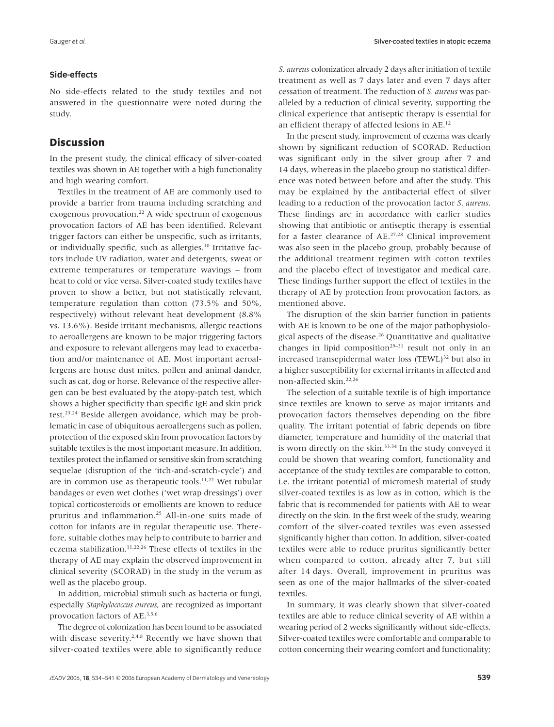#### **Side-effects**

No side-effects related to the study textiles and not answered in the questionnaire were noted during the study.

### **Discussion**

In the present study, the clinical efficacy of silver-coated textiles was shown in AE together with a high functionality and high wearing comfort.

Textiles in the treatment of AE are commonly used to provide a barrier from trauma including scratching and exogenous provocation.<sup>22</sup> A wide spectrum of exogenous provocation factors of AE has been identified. Relevant trigger factors can either be unspecific, such as irritants, or individually specific, such as allergies.10 Irritative factors include UV radiation, water and detergents, sweat or extreme temperatures or temperature wavings – from heat to cold or vice versa. Silver-coated study textiles have proven to show a better, but not statistically relevant, temperature regulation than cotton (73.5% and 50%, respectively) without relevant heat development (8.8% vs. 13.6%). Beside irritant mechanisms, allergic reactions to aeroallergens are known to be major triggering factors and exposure to relevant allergens may lead to exacerbation and/or maintenance of AE. Most important aeroallergens are house dust mites, pollen and animal dander, such as cat, dog or horse. Relevance of the respective allergen can be best evaluated by the atopy-patch test, which shows a higher specificity than specific IgE and skin prick test.23,24 Beside allergen avoidance, which may be problematic in case of ubiquitous aeroallergens such as pollen, protection of the exposed skin from provocation factors by suitable textiles is the most important measure. In addition, textiles protect the inflamed or sensitive skin from scratching sequelae (disruption of the 'itch-and-scratch-cycle') and are in common use as therapeutic tools.<sup>11,22</sup> Wet tubular bandages or even wet clothes ('wet wrap dressings') over topical corticosteroids or emollients are known to reduce pruritus and inflammation.25 All-in-one suits made of cotton for infants are in regular therapeutic use. Therefore, suitable clothes may help to contribute to barrier and eczema stabilization.<sup>11,22,26</sup> These effects of textiles in the therapy of AE may explain the observed improvement in clinical severity (SCORAD) in the study in the verum as well as the placebo group.

In addition, microbial stimuli such as bacteria or fungi, especially *Staphylococcus aureus*, are recognized as important provocation factors of AE.3,5,6

The degree of colonization has been found to be associated with disease severity.<sup>2,4,8</sup> Recently we have shown that silver-coated textiles were able to significantly reduce *S. aureus* colonization already 2 days after initiation of textile treatment as well as 7 days later and even 7 days after cessation of treatment. The reduction of *S. aureus* was paralleled by a reduction of clinical severity, supporting the clinical experience that antiseptic therapy is essential for an efficient therapy of affected lesions in AE.12

In the present study, improvement of eczema was clearly shown by significant reduction of SCORAD. Reduction was significant only in the silver group after 7 and 14 days, whereas in the placebo group no statistical difference was noted between before and after the study. This may be explained by the antibacterial effect of silver leading to a reduction of the provocation factor *S. aureus*. These findings are in accordance with earlier studies showing that antibiotic or antiseptic therapy is essential for a faster clearance of AE.27,28 Clinical improvement was also seen in the placebo group, probably because of the additional treatment regimen with cotton textiles and the placebo effect of investigator and medical care. These findings further support the effect of textiles in the therapy of AE by protection from provocation factors, as mentioned above.

The disruption of the skin barrier function in patients with AE is known to be one of the major pathophysiological aspects of the disease.26 Quantitative and qualitative changes in lipid composition<sup>29–31</sup> result not only in an increased transepidermal water loss (TEWL)<sup>32</sup> but also in a higher susceptibility for external irritants in affected and non-affected skin.22,26

The selection of a suitable textile is of high importance since textiles are known to serve as major irritants and provocation factors themselves depending on the fibre quality. The irritant potential of fabric depends on fibre diameter, temperature and humidity of the material that is worn directly on the skin.<sup>33,34</sup> In the study conveyed it could be shown that wearing comfort, functionality and acceptance of the study textiles are comparable to cotton, i.e. the irritant potential of micromesh material of study silver-coated textiles is as low as in cotton, which is the fabric that is recommended for patients with AE to wear directly on the skin. In the first week of the study, wearing comfort of the silver-coated textiles was even assessed significantly higher than cotton. In addition, silver-coated textiles were able to reduce pruritus significantly better when compared to cotton, already after 7, but still after 14 days. Overall, improvement in pruritus was seen as one of the major hallmarks of the silver-coated textiles.

In summary, it was clearly shown that silver-coated textiles are able to reduce clinical severity of AE within a wearing period of 2 weeks significantly without side-effects. Silver-coated textiles were comfortable and comparable to cotton concerning their wearing comfort and functionality;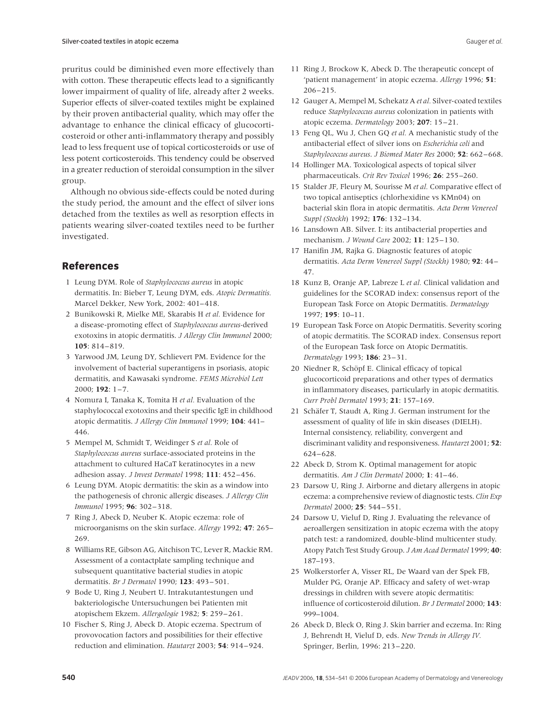pruritus could be diminished even more effectively than with cotton. These therapeutic effects lead to a significantly lower impairment of quality of life, already after 2 weeks. Superior effects of silver-coated textiles might be explained by their proven antibacterial quality, which may offer the advantage to enhance the clinical efficacy of glucocorticosteroid or other anti-inflammatory therapy and possibly lead to less frequent use of topical corticosteroids or use of less potent corticosteroids. This tendency could be observed in a greater reduction of steroidal consumption in the silver group.

Although no obvious side-effects could be noted during the study period, the amount and the effect of silver ions detached from the textiles as well as resorption effects in patients wearing silver-coated textiles need to be further investigated.

# **References**

- 1 Leung DYM. Role of *Staphylococcus aureus* in atopic dermatitis. In: Bieber T, Leung DYM, eds. *Atopic Dermatitis.* Marcel Dekker, New York, 2002: 401–418.
- 2 Bunikowski R, Mielke ME, Skarabis H *et al.* Evidence for a disease-promoting effect of *Staphylococcus aureus-*derived exotoxins in atopic dermatitis. *J Allergy Clin Immunol* 2000; **105**: 814–819.
- 3 Yarwood JM, Leung DY, Schlievert PM. Evidence for the involvement of bacterial superantigens in psoriasis, atopic dermatitis, and Kawasaki syndrome. *FEMS Microbiol Lett* 2000; **192**: 1–7.
- 4 Nomura I, Tanaka K, Tomita H *et al.* Evaluation of the staphylococcal exotoxins and their specific IgE in childhood atopic dermatitis. *J Allergy Clin Immunol* 1999; **104**: 441– 446.
- 5 Mempel M, Schmidt T, Weidinger S *et al.* Role of *Staphylococcus aureus* surface-associated proteins in the attachment to cultured HaCaT keratinocytes in a new adhesion assay. *J Invest Dermatol* 1998; **111**: 452–456.
- 6 Leung DYM. Atopic dermatitis: the skin as a window into the pathogenesis of chronic allergic diseases. *J Allergy Clin Immunol* 1995; **96**: 302–318.
- 7 Ring J, Abeck D, Neuber K. Atopic eczema: role of microorganisms on the skin surface. *Allergy* 1992; **47**: 265– 269.
- 8 Williams RE, Gibson AG, Aitchison TC, Lever R, Mackie RM. Assessment of a contactplate sampling technique and subsequent quantitative bacterial studies in atopic dermatitis. *Br J Dermatol* 1990; **123**: 493–501.
- 9 Bode U, Ring J, Neubert U. Intrakutantestungen und bakteriologische Untersuchungen bei Patienten mit atopischem Ekzem. *Allergologie* 1982; **5**: 259–261.
- 10 Fischer S, Ring J, Abeck D. Atopic eczema. Spectrum of provovocation factors and possibilities for their effective reduction and elimination. *Hautarzt* 2003; **54**: 914–924.
- 11 Ring J, Brockow K, Abeck D. The therapeutic concept of 'patient management' in atopic eczema. *Allergy* 1996; **51**: 206–215.
- 12 Gauger A, Mempel M, Schekatz A *et al.* Silver-coated textiles reduce *Staphylococcus aureus* colonization in patients with atopic eczema. *Dermatology* 2003; **207**: 15–21.
- 13 Feng QL, Wu J, Chen GQ *et al.* A mechanistic study of the antibacterial effect of silver ions on *Escherichia coli* and *Staphylococcus aureus*. *J Biomed Mater Res* 2000; **52**: 662–668.
- 14 Hollinger MA. Toxicological aspects of topical silver pharmaceuticals. *Crit Rev Toxicol* 1996; **26**: 255–260.
- 15 Stalder JF, Fleury M, Sourisse M *et al.* Comparative effect of two topical antiseptics (chlorhexidine vs KMn04) on bacterial skin flora in atopic dermatitis. *Acta Derm Venereol Suppl (Stockh*) 1992; **176**: 132–134.
- 16 Lansdown AB. Silver. I: its antibacterial properties and mechanism. *J Wound Care* 2002; **11**: 125–130.
- 17 Hanifin JM, Rajka G. Diagnostic features of atopic dermatitis. *Acta Derm Venereol Suppl (Stockh)* 1980; **92**: 44– 47.
- 18 Kunz B, Oranje AP, Labreze L *et al.* Clinical validation and guidelines for the SCORAD index: consensus report of the European Task Force on Atopic Dermatitis. *Dermatology* 1997; **195**: 10–11.
- 19 European Task Force on Atopic Dermatitis. Severity scoring of atopic dermatitis. The SCORAD index. Consensus report of the European Task force on Atopic Dermatitis. *Dermatology* 1993; **186**: 23–31.
- 20 Niedner R, Schöpf E. Clinical efficacy of topical glucocorticoid preparations and other types of dermatics in inflammatory diseases, particularly in atopic dermatitis. *Curr Probl Dermatol* 1993; **21**: 157–169.
- 21 Schäfer T, Staudt A, Ring J. German instrument for the assessment of quality of life in skin diseases (DIELH). Internal consistency, reliability, convergent and discriminant validity and responsiveness. *Hautarzt* 2001; **52**: 624–628.
- 22 Abeck D, Strom K. Optimal management for atopic dermatitis. *Am J Clin Dermatol* 2000; **1**: 41–46.
- 23 Darsow U, Ring J. Airborne and dietary allergens in atopic eczema: a comprehensive review of diagnostic tests. *Clin Exp Dermatol* 2000; **25**: 544–551.
- 24 Darsow U, Vieluf D, Ring J. Evaluating the relevance of aeroallergen sensitization in atopic eczema with the atopy patch test: a randomized, double-blind multicenter study. Atopy Patch Test Study Group. *J Am Acad Dermatol* 1999; **40**: 187–193.
- 25 Wolkerstorfer A, Visser RL, De Waard van der Spek FB, Mulder PG, Oranje AP. Efficacy and safety of wet-wrap dressings in children with severe atopic dermatitis: influence of corticosteroid dilution. *Br J Dermatol* 2000; **143**: 999–1004.
- 26 Abeck D, Bleck O, Ring J. Skin barrier and eczema. In: Ring J, Behrendt H, Vieluf D, eds. *New Trends in Allergy IV.* Springer, Berlin, 1996: 213–220.